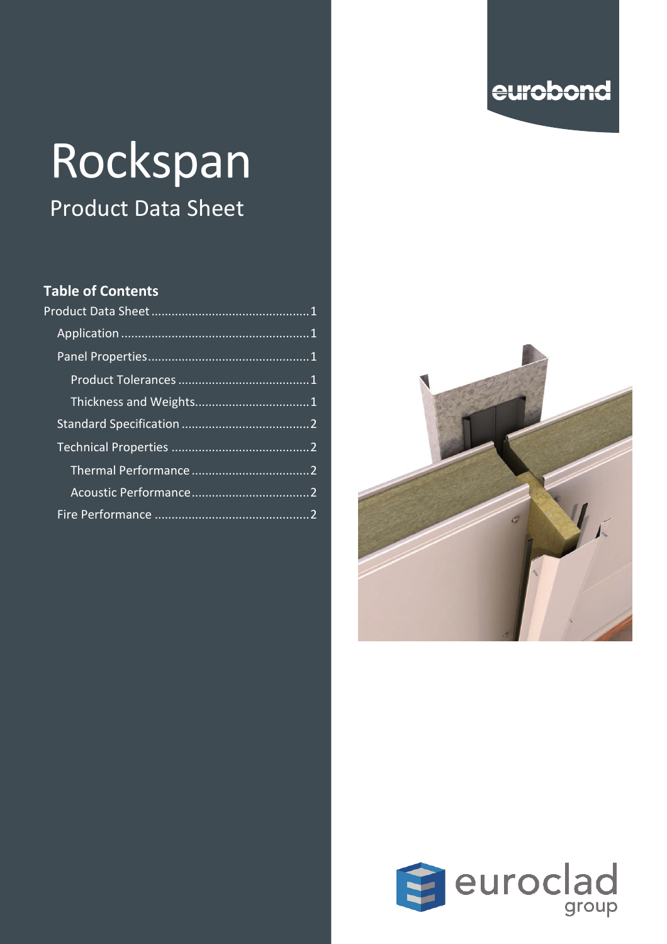# eurobond

# Rockspan Product Data Sheet

#### **Table of Contents**



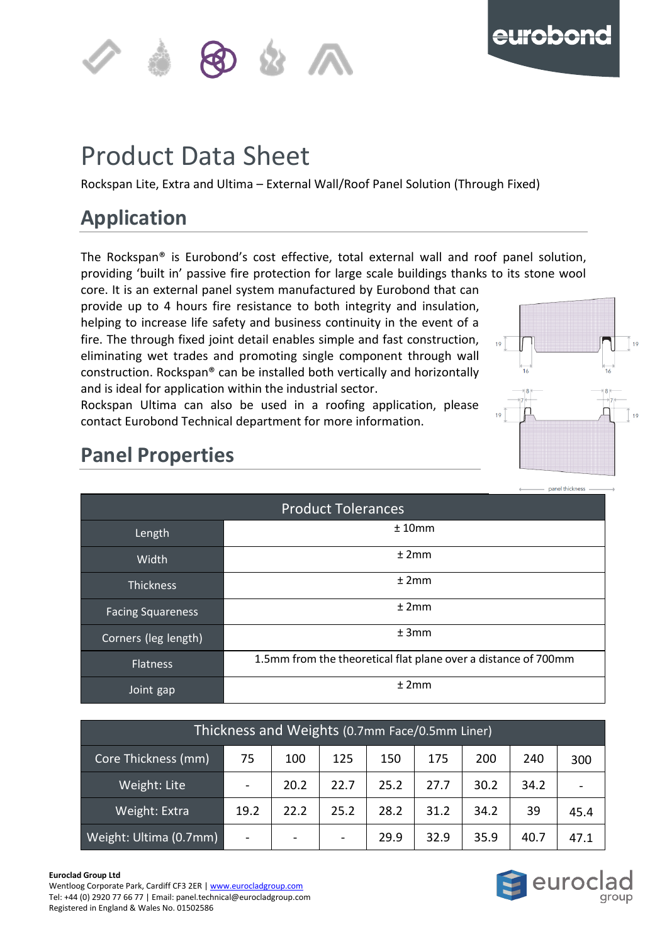



#### <span id="page-1-0"></span>**of the contract of the contract of the contract of the contract of the contract of the contract of the contract** p Product Data Sheet

n Rockspan Lite, Extra and Ultima – External Wall/Roof Panel Solution (Through Fixed)

## <span id="page-1-1"></span>**Application**

The Rockspan® is Eurobond's cost effective, total external wall and roof panel solution, providing 'built in' passive fire protection for large scale buildings thanks to its stone wool core. It is an external panel system manufactured by Eurobond that can

provide up to 4 hours fire resistance to both integrity and insulation, helping to increase life safety and business continuity in the event of a fire. The through fixed joint detail enables simple and fast construction, eliminating wet trades and promoting single component through wall construction. Rockspan® can be installed both vertically and horizontally and is ideal for application within the industrial sector.

Rockspan Ultima can also be used in a roofing application, please contact Eurobond Technical department for more information.



## <span id="page-1-2"></span>**Panel Properties**

<span id="page-1-3"></span>

| <b>Product Tolerances</b> |                                                                |  |  |  |  |  |  |  |
|---------------------------|----------------------------------------------------------------|--|--|--|--|--|--|--|
| Length                    | ±10mm                                                          |  |  |  |  |  |  |  |
| Width                     | ±2mm                                                           |  |  |  |  |  |  |  |
| <b>Thickness</b>          | ±2mm                                                           |  |  |  |  |  |  |  |
| <b>Facing Squareness</b>  | ±2mm                                                           |  |  |  |  |  |  |  |
| Corners (leg length)      | ±3mm                                                           |  |  |  |  |  |  |  |
| <b>Flatness</b>           | 1.5mm from the theoretical flat plane over a distance of 700mm |  |  |  |  |  |  |  |
| Joint gap                 | ±2mm                                                           |  |  |  |  |  |  |  |

<span id="page-1-4"></span>

| Thickness and Weights (0.7mm Face/0.5mm Liner) |      |                          |                          |      |      |      |      |      |
|------------------------------------------------|------|--------------------------|--------------------------|------|------|------|------|------|
| Core Thickness (mm)                            | 75   | 100                      | 125                      | 150  | 175  | 200  | 240  | 300  |
| Weight: Lite                                   |      | 20.2                     | 22.7                     | 25.2 | 27.7 | 30.2 | 34.2 |      |
| Weight: Extra                                  | 19.2 | 22.2                     | 25.2                     | 28.2 | 31.2 | 34.2 | 39   | 45.4 |
| Weight: Ultima (0.7mm)                         |      | $\overline{\phantom{a}}$ | $\overline{\phantom{a}}$ | 29.9 | 32.9 | 35.9 | 40.7 | 47.1 |

#### **Euroclad Group Ltd**